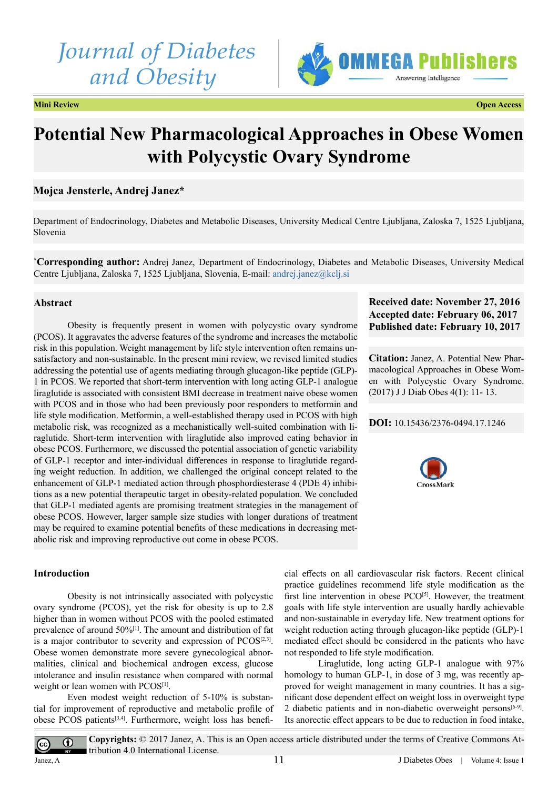# *Journal of Diabetes and Obesity*



**Mini Review Open Access**

# **Potential New Pharmacological Approaches in Obese Women with Polycystic Ovary Syndrome**

# **Mojca Jensterle, Andrej Janez\***

Department of Endocrinology, Diabetes and Metabolic Diseases, University Medical Centre Ljubljana, Zaloska 7, 1525 Ljubljana, Slovenia

**\* Corresponding author:** Andrej Janez, Department of Endocrinology, Diabetes and Metabolic Diseases, University Medical Centre Ljubljana, Zaloska 7, 1525 Ljubljana, Slovenia, E-mail: [andrej.janez@kclj.si](mailto:andrej.janez@kclj.si)

#### **Abstract**

Obesity is frequently present in women with polycystic ovary syndrome (PCOS). It aggravates the adverse features of the syndrome and increases the metabolic risk in this population. Weight management by life style intervention often remains unsatisfactory and non-sustainable. In the present mini review, we revised limited studies addressing the potential use of agents mediating through glucagon-like peptide (GLP)- 1 in PCOS. We reported that short-term intervention with long acting GLP-1 analogue liraglutide is associated with consistent BMI decrease in treatment naive obese women with PCOS and in those who had been previously poor responders to metformin and life style modification. Metformin, a well-established therapy used in PCOS with high metabolic risk, was recognized as a mechanistically well-suited combination with liraglutide. Short-term intervention with liraglutide also improved eating behavior in obese PCOS. Furthermore, we discussed the potential association of genetic variability of GLP-1 receptor and inter-individual differences in response to liraglutide regarding weight reduction. In addition, we challenged the original concept related to the enhancement of GLP-1 mediated action through phosphordiesterase 4 (PDE 4) inhibitions as a new potential therapeutic target in obesity-related population. We concluded that GLP-1 mediated agents are promising treatment strategies in the management of obese PCOS. However, larger sample size studies with longer durations of treatment may be required to examine potential benefits of these medications in decreasing metabolic risk and improving reproductive out come in obese PCOS.

### **Introduction**

Obesity is not intrinsically associated with polycystic ovary syndrome (PCOS), yet the risk for obesity is up to 2.8 higher than in women without PCOS with the pooled estimated prevalence of around 50%[\[1\]](#page-2-0). The amount and distribution of fat is a major contributor to severity and expression of  $PCOS^{[2,3]}$  $PCOS^{[2,3]}$  $PCOS^{[2,3]}$ . Obese women demonstrate more severe gynecological abnormalities, clinical and biochemical androgen excess, glucose intolerance and insulin resistance when compared with normal weight or lean women with PCOS<sup>[1]</sup>.

Even modest weight reduction of 5-10% is substantial for improvement of reproductive and metabolic profile of obese PCOS patients<sup>[\[3,4\]](#page-2-2)</sup>. Furthermore, weight loss has benefi-

## **Received date: November 27, 2016 Accepted date: February 06, 2017 Published date: February 10, 2017**

**Citation:** Janez, A. Potential New Pharmacological Approaches in Obese Women with Polycystic Ovary Syndrome. (2017) J J Diab Obes 4(1): 11- 13.

#### **DOI:** [10.15436/2376-0494.17](http://www.dx.doi.org/10.15436/2376-0494.17.1246).1246



cial effects on all cardiovascular risk factors. Recent clinical practice guidelines recommend life style modification as the first line intervention in obese PCO<sup>[\[5\]](#page-2-3)</sup>. However, the treatment goals with life style intervention are usually hardly achievable and non-sustainable in everyday life. New treatment options for weight reduction acting through glucagon-like peptide (GLP)-1 mediated effect should be considered in the patients who have not responded to life style modification.

Liraglutide, long acting GLP-1 analogue with 97% homology to human GLP-1, in dose of 3 mg, was recently approved for weight management in many countries. It has a significant dose dependent effect on weight loss in overweight type 2 diabetic patients and in non-diabetic overweight persons<sup>[6-9]</sup>. Its anorectic effect appears to be due to reduction in food intake,

 $^{\circ}$  $\overline{cc}$ tribution 4.0 International License. Janez, A

**Copyrights:** © 2017 Janez, A. This is an Open access article distributed under the terms of Creative Commons At-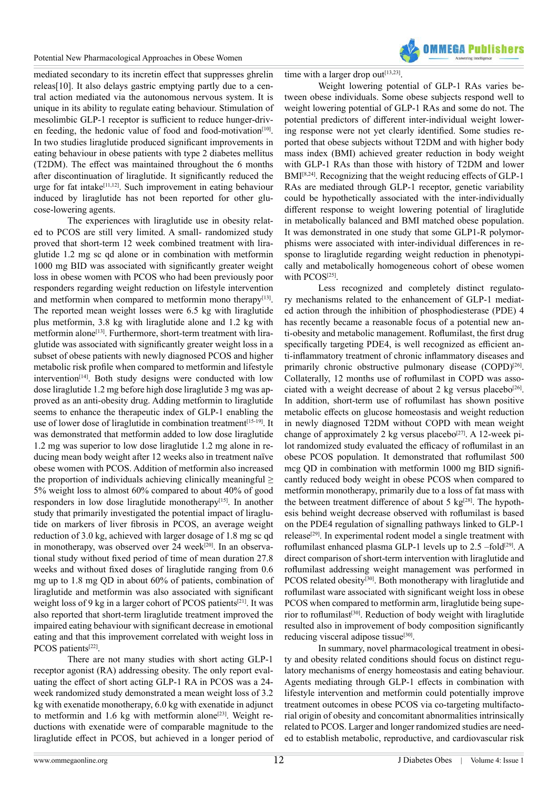

mediated secondary to its incretin effect that suppresses ghrelin releas[10]. It also delays gastric emptying partly due to a central action mediated via the autonomous nervous system. It is unique in its ability to regulate eating behaviour. Stimulation of mesolimbic GLP-1 receptor is sufficient to reduce hunger-driven feeding, the hedonic value of food and food-motivation $[10]$ . In two studies liraglutide produced significant improvements in eating behaviour in obese patients with type 2 diabetes mellitus (T2DM). The effect was maintained throughout the 6 months after discontinuation of liraglutide. It significantly reduced the urge for fat intak[e\[11,12\].](#page-2-6) Such improvement in eating behaviour induced by liraglutide has not been reported for other glucose-lowering agents.

The experiences with liraglutide use in obesity related to PCOS are still very limited. A small- randomized study proved that short-term 12 week combined treatment with liraglutide 1.2 mg sc qd alone or in combination with metformin 1000 mg BID was associated with significantly greater weight loss in obese women with PCOS who had been previously poor responders regarding weight reduction on lifestyle intervention and metformin when compared to metformin mono therapy $[13]$ . The reported mean weight losses were 6.5 kg with liraglutide plus metformin, 3.8 kg with liraglutide alone and 1.2 kg with metformin alone<sup>[13]</sup>. Furthermore, short-term treatment with liraglutide was associated with significantly greater weight loss in a subset of obese patients with newly diagnosed PCOS and higher metabolic risk profile when compared to metformin and lifestyle  $intervention^{[14]}$ . Both study designs were conducted with low dose liraglutide 1.2 mg before high dose liraglutide 3 mg was approved as an anti-obesity drug. Adding metformin to liraglutide seems to enhance the therapeutic index of GLP-1 enabling the use of lower dose of liraglutide in combination treatment<sup>[15-19]</sup>. It was demonstrated that metformin added to low dose liraglutide 1.2 mg was superior to low dose liraglutide 1.2 mg alone in reducing mean body weight after 12 weeks also in treatment naïve obese women with PCOS. Addition of metformin also increased the proportion of individuals achieving clinically meaningful  $\geq$ 5% weight loss to almost 60% compared to about 40% of good responders in low dose liraglutide monotherapy<sup>[15]</sup>. In another study that primarily investigated the potential impact of liraglutide on markers of liver fibrosis in PCOS, an average weight reduction of 3.0 kg, achieved with larger dosage of 1.8 mg sc qd in monotherapy, was observed over 24 week<sup>[20]</sup>. In an observational study without fixed period of time of mean duration 27.8 weeks and without fixed doses of liraglutide ranging from 0.6 mg up to 1.8 mg QD in about 60% of patients, combination of liraglutide and metformin was also associated with significant weight loss of 9 kg in a larger cohort of PCOS patients<sup>[21]</sup>. It was also reported that short-term liraglutide treatment improved the impaired eating behaviour with significant decrease in emotional eating and that this improvement correlated with weight loss in PCOS patients<sup>[\[22\]](#page-2-12)</sup>.

There are not many studies with short acting GLP-1 receptor agonist (RA) addressing obesity. The only report evaluating the effect of short acting GLP-1 RA in PCOS was a 24 week randomized study demonstrated a mean weight loss of 3.2 kg with exenatide monotherapy, 6.0 kg with exenatide in adjunct to metformin and 1.6 kg with metformin alone<sup>[23]</sup>. Weight reductions with exenatide were of comparable magnitude to the liraglutide effect in PCOS, but achieved in a longer period of time with a larger drop out<sup>[13,23]</sup>.

Weight lowering potential of GLP-1 RAs varies between obese individuals. Some obese subjects respond well to weight lowering potential of GLP-1 RAs and some do not. The potential predictors of different inter-individual weight lowering response were not yet clearly identified. Some studies reported that obese subjects without T2DM and with higher body mass index (BMI) achieved greater reduction in body weight with GLP-1 RAs than those with history of T2DM and lower BMI<sup>[\[8,24\]](#page-2-14)</sup>. Recognizing that the weight reducing effects of GLP-1 RAs are mediated through GLP-1 receptor, genetic variability could be hypothetically associated with the inter-individually different response to weight lowering potential of liraglutide in metabolically balanced and BMI matched obese population. It was demonstrated in one study that some GLP1-R polymorphisms were associated with inter-individual differences in response to liraglutide regarding weight reduction in phenotypically and metabolically homogeneous cohort of obese women with PCOS[\[25\].](#page-2-15)

Less recognized and completely distinct regulatory mechanisms related to the enhancement of GLP-1 mediated action through the inhibition of phosphodiesterase (PDE) 4 has recently became a reasonable focus of a potential new anti-obesity and metabolic management. Roflumilast, the first drug specifically targeting PDE4, is well recognized as efficient anti-inflammatory treatment of chronic inflammatory diseases and primarily chronic obstructive pulmonary disease (COPD)<sup>[26]</sup>. Collaterally, 12 months use of roflumilast in COPD was associated with a weight decrease of about 2 kg versus placebo<sup>[26]</sup>. In addition, short-term use of roflumilast has shown positive metabolic effects on glucose homeostasis and weight reduction in newly diagnosed T2DM without COPD with mean weight change of approximately 2 kg versus placebo<sup>[27]</sup>. A 12-week pilot randomized study evaluated the efficacy of roflumilast in an obese PCOS population. It demonstrated that roflumilast 500 mcg QD in combination with metformin 1000 mg BID significantly reduced body weight in obese PCOS when compared to metformin monotherapy, primarily due to a loss of fat mass with the between treatment difference of about 5  $kg^{[28]}$  $kg^{[28]}$  $kg^{[28]}$ . The hypothesis behind weight decrease observed with roflumilast is based on the PDE4 regulation of signalling pathways linked to GLP-1 releas[e\[29\]](#page-2-19). In experimental rodent model a single treatment with roflumilast enhanced plasma GLP-1 levels up to 2.5 –fold<sup>[29]</sup>. A direct comparison of short-term intervention with liraglutide and roflumilast addressing weight management was performed in PCOS related obesity<sup>[\[30\]](#page-2-20)</sup>. Both monotherapy with liraglutide and roflumilast ware associated with significant weight loss in obese PCOS when compared to metformin arm, liraglutide being supe-rior to roflumilast<sup>[\[30\]](#page-2-20)</sup>. Reduction of body weight with liraglutide resulted also in improvement of body composition significantly reducing visceral adipose tissue<sup>[\[30\]](#page-2-20)</sup>.

In summary, novel pharmacological treatment in obesity and obesity related conditions should focus on distinct regulatory mechanisms of energy homeostasis and eating behaviour. Agents mediating through GLP-1 effects in combination with lifestyle intervention and metformin could potentially improve treatment outcomes in obese PCOS via co-targeting multifactorial origin of obesity and concomitant abnormalities intrinsically related to PCOS. Larger and longer randomized studies are needed to establish metabolic, reproductive, and cardiovascular risk